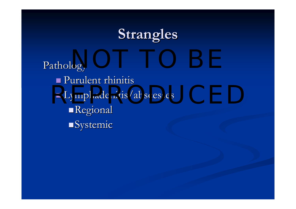## **Strangles Strangles**

Pathology **Purulent rhinitis**  $\blacksquare$  Lymphadenitis/abscesses **Regional**  $\blacksquare$ Systemic  $\overline{\text{Oov}}$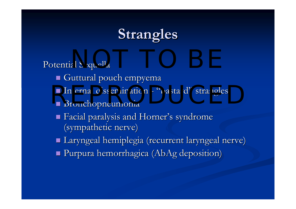# **Strangles Strangles**

Potential Sequella

- Guttural pouch empyema Guttural pouch empyema
- Internal dissemination "bastard" strangles
	- Bronchopneumonia
	- $\blacksquare$  Facial paralysis and Horner's syndrome (sympathetic nerve)
	- $\blacksquare$  Laryngeal hemiplegia (recurrent laryngeal nerve)
	- $\blacksquare$  Purpura hemorrhagica (AbAg deposition)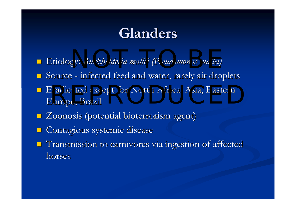## **Glanders Glanders**

- p. **E**tiology: *Burkholderia mallei* (Pseudomonas mallei)
- **Source** infected feed and water, rarely air droplets
- Eradicated except for North Africa, Asia, Eastern<br>Europe, Brazil Europe, Brazil
- **E** Zoonosis (potential bioterrorism agent)
- k. Contagious systemic disease
- **T**ransmission to carnivores via ingestion of affected horses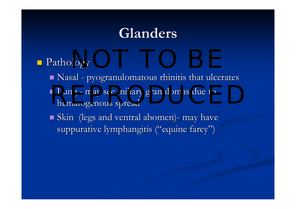## **Glanders Glanders**

#### Pathology Pathology  $\log y$

- $\blacksquare$  Nasal pyogranulomatous rhinitis that ulcerates
- Lung may see miliary granulomas due to hematogenous spread hematogenous spread
- $\blacksquare$  Skin (legs and ventral abomen)- may have suppurative lymphangitis ("equine farcy")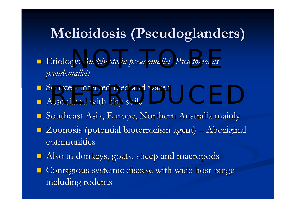## $Meliodosis (Pseudoglanders)$

- p. Etiology: Etiology: *Burkholderia Burkholderia pseudomallei pseudomallei (Pseudomonas (Pseudomonas*  NOT TO BE *pseudomallei pseudomallei)*
- Source infected feed and water<br>■ Associated with clay soils
- $\blacksquare$  Associated with clay soils
- $\blacksquare$  Southeast Asia, Europe, Northern Australia mainly
- $\blacksquare$  Zoonosis (potential bioterrorism agent) Aboriginal communities
- $\blacksquare$ Also in donkeys, goats, sheep and macropods
- **E** Contagious systemic disease with wide host range including rodents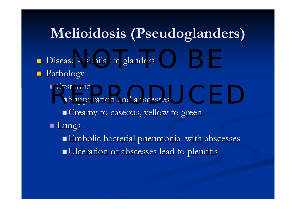## $Meliodosis (Pseudoglanders)$

- Disease similar to glanders
- **Pathology** 
	- $\blacksquare$  Systemic

Systemic<br>Representing Suppuration and abscesses

**Creamy to caseous, yellow to green** 

■ Lungs

 Embolic bacterial pneumonia with abscesses Embolic bacterial pneumonia with abscesses Ulceration of abscesses lead to pleuritis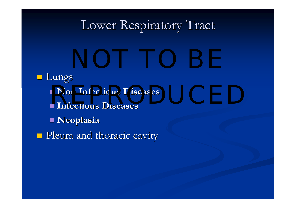#### Lower Respiratory Tract

**Lungs Non Infectious Diseases Non Infectious Diseases Infectious Diseases Infectious Diseases Neoplasia Neoplasia**  $\blacksquare$  Pleura and thoracic cavity Non Infectious Diseases and the contraction of the contract of the contract of the contract of the contract of the contract of the contract of the contract of the contract of the contract of the contract of the contract of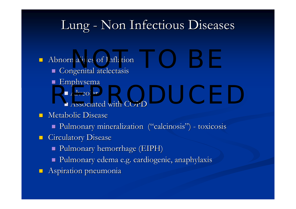#### Lung - Non Infectious Diseases

- $\blacksquare$  Abnormalities of Inflation nalities of Inflation and the contract of the contract of the contract of the contract of the contract of the contract of the contract of the contract of the contract of the contract of the contract of the contract of the
	- $\blacksquare$  Congenital atelectasis
	- $\blacksquare$  Emphysema
		- $\blacksquare$  Alveolar
	- $\blacksquare$  Associated with COPD  $\blacksquare$  Alveolar
- $\blacksquare$  Metabolic Disease
	- **Pulmonary mineralization ("calcinosis") toxicosis**  $\blacksquare$
- $\blacksquare$ Circulatory Disease
	- $\blacksquare$  Pulmonary hemorrhage (EIPH)
	- $\blacksquare$  Pulmonary edema e.g. cardiogenic, anaphylaxis
- $\blacksquare$  Aspiration pneumonia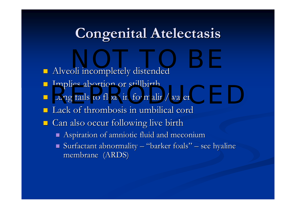## **Congenital Atelectasis**

- **Alveoli incompletely distended** NOT TO BE A REPORT OF THE SERVICE OF THE SERVICE OF THE SERVICE OF THE SERVICE OF THE SERVICE OF THE SERVICE O<br>NOTE: THE SERVICE OF THE SERVICE OF THE SERVICE OF THE SERVICE OF THE SERVICE OF THE SERVICE OF THE SERVICE OF<br>
- Implies abortion or stillbirth
- ■ Lung fails to float in formalin/water
- $\blacksquare$  Lack of thrombosis in umbilical cord
- **Can also occur following live birth** 
	- $\blacksquare$  Aspiration of amniotic fluid and meconium
	- $\blacksquare$  Surfactant abnormality "barker foals" see hyaline membrane (ARDS)